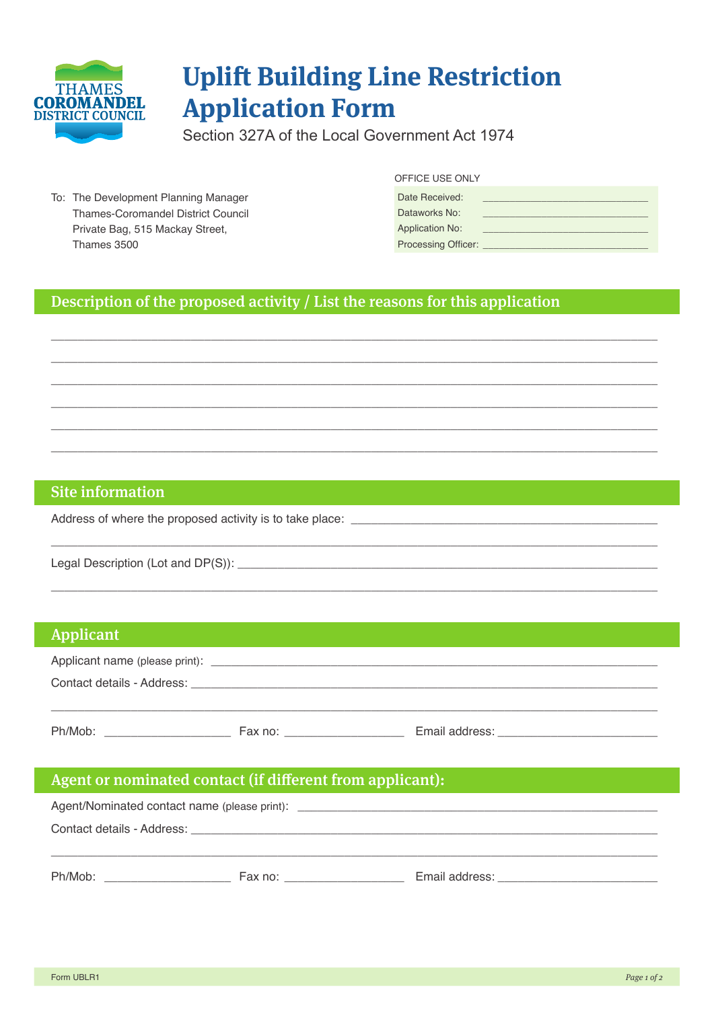

# **Uplift Building Line Restriction Application Form**

Section 327A of the Local Government Act 1974

To: The Development Planning Manager Thames-Coromandel District Council Private Bag, 515 Mackay Street, Thames 3500

#### OFFICE USE ONLY

| Date Received:             |  |
|----------------------------|--|
| Dataworks No:              |  |
| <b>Application No:</b>     |  |
| <b>Processing Officer:</b> |  |

# Description of the proposed activity / List the reasons for this application

## **Site information**

Address of where the proposed activity is to take place:

Legal Description (Lot and DP(S)): \_\_

#### **Applicant**

| Applicant name (please print): _ |         |                |  |
|----------------------------------|---------|----------------|--|
| Contact details - Address:       |         |                |  |
|                                  |         |                |  |
| Ph/Mob:                          | Fax no: | Email address: |  |

# Agent or nominated contact (if different from applicant):

|                            |         | Agent/Nominated contact name (please print): ___________________________________ |  |
|----------------------------|---------|----------------------------------------------------------------------------------|--|
| Contact details - Address: |         |                                                                                  |  |
|                            |         |                                                                                  |  |
| Ph/Mob:                    | Fax no: | Email address:                                                                   |  |